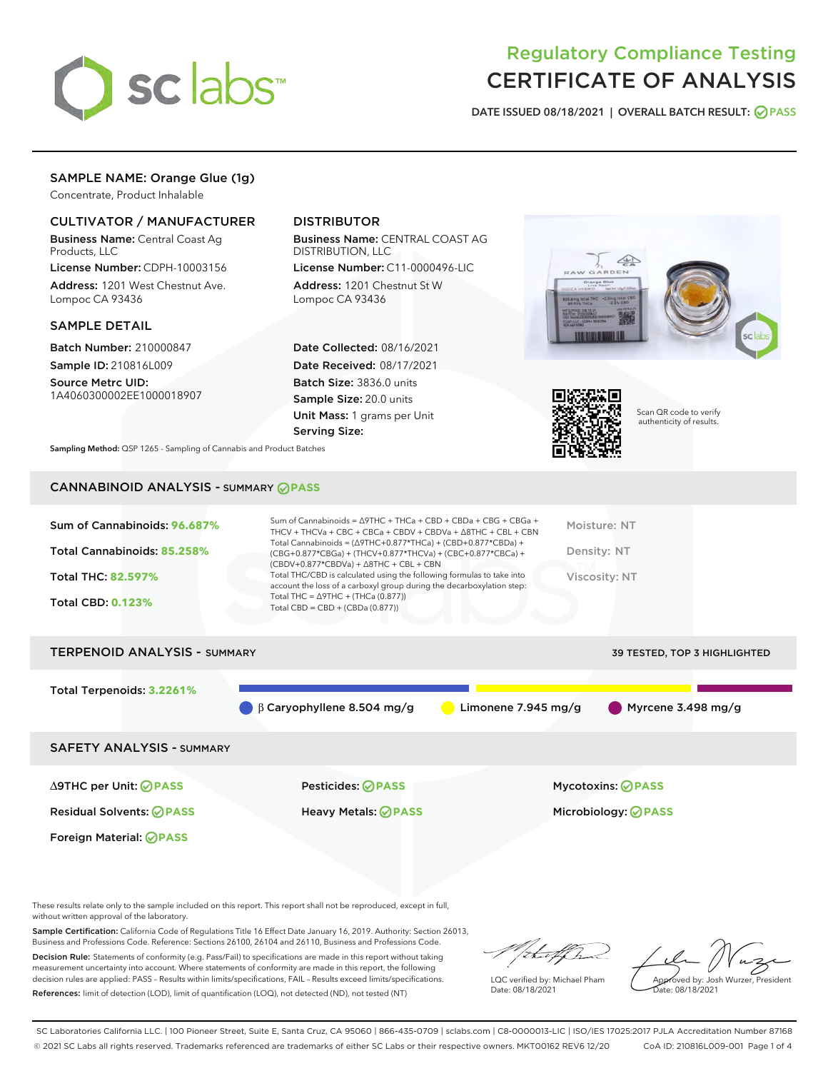

# Regulatory Compliance Testing CERTIFICATE OF ANALYSIS

DATE ISSUED 08/18/2021 | OVERALL BATCH RESULT: @ PASS

## SAMPLE NAME: Orange Glue (1g)

Concentrate, Product Inhalable

## CULTIVATOR / MANUFACTURER

Business Name: Central Coast Ag Products, LLC

License Number: CDPH-10003156 Address: 1201 West Chestnut Ave. Lompoc CA 93436

## SAMPLE DETAIL

Batch Number: 210000847 Sample ID: 210816L009

Source Metrc UID: 1A4060300002EE1000018907

## DISTRIBUTOR

Business Name: CENTRAL COAST AG DISTRIBUTION, LLC

License Number: C11-0000496-LIC Address: 1201 Chestnut St W Lompoc CA 93436

Date Collected: 08/16/2021 Date Received: 08/17/2021 Batch Size: 3836.0 units Sample Size: 20.0 units Unit Mass: 1 grams per Unit Serving Size:





Scan QR code to verify authenticity of results.

Sampling Method: QSP 1265 - Sampling of Cannabis and Product Batches

## CANNABINOID ANALYSIS - SUMMARY **PASS**

| Sum of Cannabinoids: 96.687%<br>Total Cannabinoids: 85.258%<br><b>Total THC: 82.597%</b><br><b>Total CBD: 0.123%</b> | Sum of Cannabinoids = $\triangle$ 9THC + THCa + CBD + CBDa + CBG + CBGa +<br>THCV + THCVa + CBC + CBCa + CBDV + CBDVa + $\Delta$ 8THC + CBL + CBN<br>Total Cannabinoids = $(\Delta$ 9THC+0.877*THCa) + (CBD+0.877*CBDa) +<br>(CBG+0.877*CBGa) + (THCV+0.877*THCVa) + (CBC+0.877*CBCa) +<br>$(CBDV+0.877*CBDVa) + \Delta 8THC + CBL + CBN$<br>Total THC/CBD is calculated using the following formulas to take into<br>account the loss of a carboxyl group during the decarboxylation step:<br>Total THC = $\triangle$ 9THC + (THCa (0.877))<br>Total CBD = $CBD + (CBDa (0.877))$ | Moisture: NT<br>Density: NT<br>Viscosity: NT |
|----------------------------------------------------------------------------------------------------------------------|------------------------------------------------------------------------------------------------------------------------------------------------------------------------------------------------------------------------------------------------------------------------------------------------------------------------------------------------------------------------------------------------------------------------------------------------------------------------------------------------------------------------------------------------------------------------------------|----------------------------------------------|
| <b>TERPENOID ANALYSIS - SUMMARY</b>                                                                                  |                                                                                                                                                                                                                                                                                                                                                                                                                                                                                                                                                                                    | 39 TESTED, TOP 3 HIGHLIGHTED                 |
|                                                                                                                      |                                                                                                                                                                                                                                                                                                                                                                                                                                                                                                                                                                                    |                                              |
| Total Terpenoids: 3.2261%                                                                                            | $\beta$ Caryophyllene 8.504 mg/g<br>Limonene 7.945 mg/g                                                                                                                                                                                                                                                                                                                                                                                                                                                                                                                            | Myrcene $3.498$ mg/g                         |

SAFETY ANALYSIS - SUMMARY

∆9THC per Unit: **PASS** Pesticides: **PASS** Mycotoxins: **PASS**

Foreign Material: **PASS**

Residual Solvents: **PASS** Heavy Metals: **PASS** Microbiology: **PASS**

These results relate only to the sample included on this report. This report shall not be reproduced, except in full, without written approval of the laboratory.

Sample Certification: California Code of Regulations Title 16 Effect Date January 16, 2019. Authority: Section 26013, Business and Professions Code. Reference: Sections 26100, 26104 and 26110, Business and Professions Code.

Decision Rule: Statements of conformity (e.g. Pass/Fail) to specifications are made in this report without taking measurement uncertainty into account. Where statements of conformity are made in this report, the following decision rules are applied: PASS – Results within limits/specifications, FAIL – Results exceed limits/specifications. References: limit of detection (LOD), limit of quantification (LOQ), not detected (ND), not tested (NT)

that f ha

LQC verified by: Michael Pham Date: 08/18/2021

Approved by: Josh Wurzer, President Date: 08/18/2021

SC Laboratories California LLC. | 100 Pioneer Street, Suite E, Santa Cruz, CA 95060 | 866-435-0709 | sclabs.com | C8-0000013-LIC | ISO/IES 17025:2017 PJLA Accreditation Number 87168 © 2021 SC Labs all rights reserved. Trademarks referenced are trademarks of either SC Labs or their respective owners. MKT00162 REV6 12/20 CoA ID: 210816L009-001 Page 1 of 4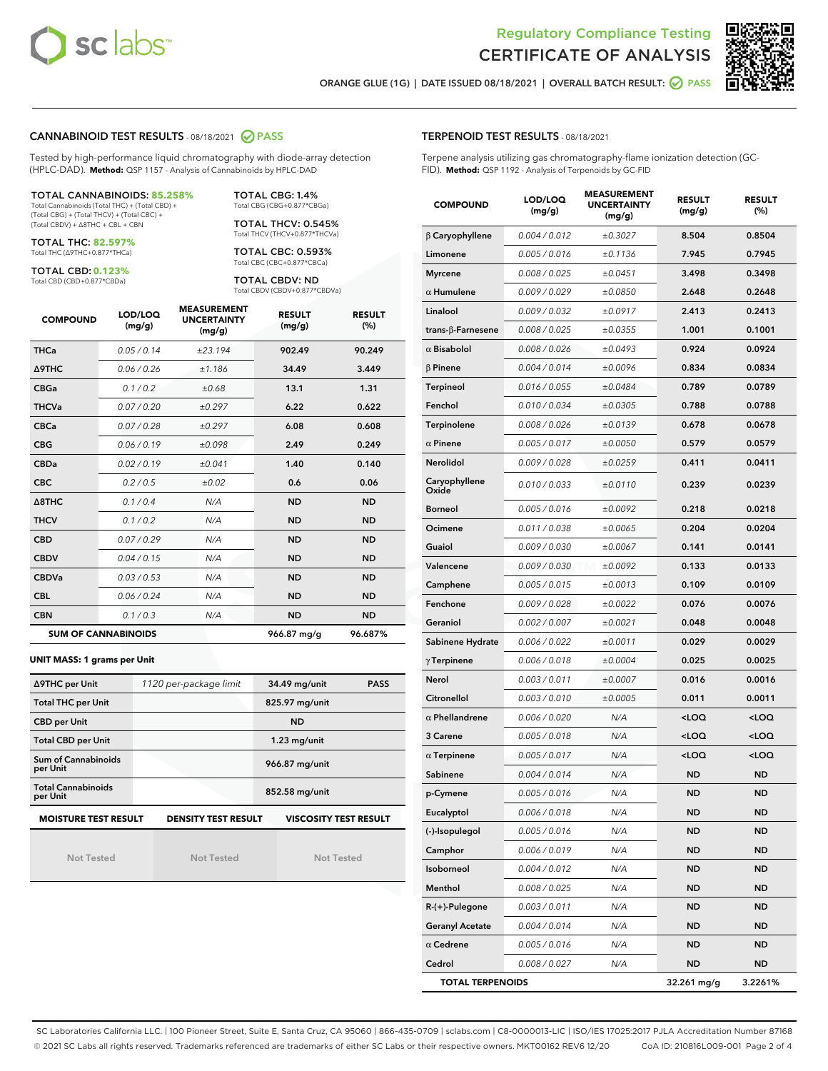



ORANGE GLUE (1G) | DATE ISSUED 08/18/2021 | OVERALL BATCH RESULT:  $\bigcirc$  PASS

## CANNABINOID TEST RESULTS - 08/18/2021 2 PASS

Tested by high-performance liquid chromatography with diode-array detection (HPLC-DAD). **Method:** QSP 1157 - Analysis of Cannabinoids by HPLC-DAD

#### TOTAL CANNABINOIDS: **85.258%**

Total Cannabinoids (Total THC) + (Total CBD) + (Total CBG) + (Total THCV) + (Total CBC) + (Total CBDV) + ∆8THC + CBL + CBN

TOTAL THC: **82.597%** Total THC (∆9THC+0.877\*THCa)

TOTAL CBD: **0.123%**

Total CBD (CBD+0.877\*CBDa)

TOTAL CBG: 1.4% Total CBG (CBG+0.877\*CBGa)

TOTAL THCV: 0.545% Total THCV (THCV+0.877\*THCVa)

TOTAL CBC: 0.593% Total CBC (CBC+0.877\*CBCa)

TOTAL CBDV: ND Total CBDV (CBDV+0.877\*CBDVa)

| <b>COMPOUND</b>            | LOD/LOQ<br>(mg/g) | <b>MEASUREMENT</b><br><b>UNCERTAINTY</b><br>(mg/g) | <b>RESULT</b><br>(mg/g) | <b>RESULT</b><br>(%) |
|----------------------------|-------------------|----------------------------------------------------|-------------------------|----------------------|
| <b>THCa</b>                | 0.05/0.14         | ±23.194                                            | 902.49                  | 90.249               |
| <b>A9THC</b>               | 0.06 / 0.26       | ±1.186                                             | 34.49                   | 3.449                |
| <b>CBGa</b>                | 0.1 / 0.2         | ±0.68                                              | 13.1                    | 1.31                 |
| <b>THCVa</b>               | 0.07/0.20         | ±0.297                                             | 6.22                    | 0.622                |
| <b>CBCa</b>                | 0.07/0.28         | ±0.297                                             | 6.08                    | 0.608                |
| <b>CBG</b>                 | 0.06/0.19         | ±0.098                                             | 2.49                    | 0.249                |
| <b>CBDa</b>                | 0.02/0.19         | ±0.041                                             | 1.40                    | 0.140                |
| <b>CBC</b>                 | 0.2 / 0.5         | ±0.02                                              | 0.6                     | 0.06                 |
| $\triangle$ 8THC           | 0.1 / 0.4         | N/A                                                | <b>ND</b>               | <b>ND</b>            |
| <b>THCV</b>                | 0.1/0.2           | N/A                                                | <b>ND</b>               | <b>ND</b>            |
| <b>CBD</b>                 | 0.07/0.29         | N/A                                                | <b>ND</b>               | <b>ND</b>            |
| <b>CBDV</b>                | 0.04/0.15         | N/A                                                | <b>ND</b>               | <b>ND</b>            |
| <b>CBDVa</b>               | 0.03/0.53         | N/A                                                | <b>ND</b>               | <b>ND</b>            |
| <b>CBL</b>                 | 0.06 / 0.24       | N/A                                                | <b>ND</b>               | <b>ND</b>            |
| <b>CBN</b>                 | 0.1/0.3           | N/A                                                | <b>ND</b>               | <b>ND</b>            |
| <b>SUM OF CANNABINOIDS</b> |                   |                                                    | 966.87 mg/g             | 96.687%              |

#### **UNIT MASS: 1 grams per Unit**

| ∆9THC per Unit                        | 1120 per-package limit                                                                    | 34.49 mg/unit<br><b>PASS</b> |  |  |  |  |
|---------------------------------------|-------------------------------------------------------------------------------------------|------------------------------|--|--|--|--|
| <b>Total THC per Unit</b>             |                                                                                           | 825.97 mg/unit               |  |  |  |  |
| <b>CBD per Unit</b>                   |                                                                                           | <b>ND</b>                    |  |  |  |  |
| <b>Total CBD per Unit</b>             |                                                                                           | $1.23$ mg/unit               |  |  |  |  |
| Sum of Cannabinoids<br>per Unit       |                                                                                           | 966.87 mg/unit               |  |  |  |  |
| <b>Total Cannabinoids</b><br>per Unit |                                                                                           | 852.58 mg/unit               |  |  |  |  |
|                                       | <b>MOISTURE TEST RESULT</b><br><b>VISCOSITY TEST RESULT</b><br><b>DENSITY TEST RESULT</b> |                              |  |  |  |  |

Not Tested

Not Tested

Not Tested

TERPENOID TEST RESULTS - 08/18/2021

Terpene analysis utilizing gas chromatography-flame ionization detection (GC-FID). **Method:** QSP 1192 - Analysis of Terpenoids by GC-FID

| <b>COMPOUND</b>         | LOD/LOQ<br>(mg/g) | <b>MEASUREMENT</b><br><b>UNCERTAINTY</b><br>(mq/q) | <b>RESULT</b><br>(mg/g)                         | <b>RESULT</b><br>$(\%)$ |
|-------------------------|-------------------|----------------------------------------------------|-------------------------------------------------|-------------------------|
| $\beta$ Caryophyllene   | 0.004 / 0.012     | ±0.3027                                            | 8.504                                           | 0.8504                  |
| Limonene                | 0.005 / 0.016     | ±0.1136                                            | 7.945                                           | 0.7945                  |
| <b>Myrcene</b>          | 0.008 / 0.025     | ±0.0451                                            | 3.498                                           | 0.3498                  |
| $\alpha$ Humulene       | 0.009/0.029       | ±0.0850                                            | 2.648                                           | 0.2648                  |
| Linalool                | 0.009 / 0.032     | ±0.0917                                            | 2.413                                           | 0.2413                  |
| trans-β-Farnesene       | 0.008 / 0.025     | ±0.0355                                            | 1.001                                           | 0.1001                  |
| $\alpha$ Bisabolol      | 0.008 / 0.026     | ±0.0493                                            | 0.924                                           | 0.0924                  |
| $\beta$ Pinene          | 0.004 / 0.014     | ±0.0096                                            | 0.834                                           | 0.0834                  |
| Terpineol               | 0.016 / 0.055     | ±0.0484                                            | 0.789                                           | 0.0789                  |
| Fenchol                 | 0.010 / 0.034     | ±0.0305                                            | 0.788                                           | 0.0788                  |
| <b>Terpinolene</b>      | 0.008 / 0.026     | ±0.0139                                            | 0.678                                           | 0.0678                  |
| $\alpha$ Pinene         | 0.005 / 0.017     | ±0.0050                                            | 0.579                                           | 0.0579                  |
| <b>Nerolidol</b>        | 0.009 / 0.028     | ±0.0259                                            | 0.411                                           | 0.0411                  |
| Caryophyllene<br>Oxide  | 0.010 / 0.033     | ±0.0110                                            | 0.239                                           | 0.0239                  |
| <b>Borneol</b>          | 0.005 / 0.016     | ±0.0092                                            | 0.218                                           | 0.0218                  |
| Ocimene                 | 0.011 / 0.038     | ±0.0065                                            | 0.204                                           | 0.0204                  |
| Guaiol                  | 0.009 / 0.030     | ±0.0067                                            | 0.141                                           | 0.0141                  |
| Valencene               | 0.009 / 0.030     | ±0.0092                                            | 0.133                                           | 0.0133                  |
| Camphene                | 0.005 / 0.015     | ±0.0013                                            | 0.109                                           | 0.0109                  |
| Fenchone                | 0.009 / 0.028     | ±0.0022                                            | 0.076                                           | 0.0076                  |
| Geraniol                | 0.002 / 0.007     | ±0.0021                                            | 0.048                                           | 0.0048                  |
| Sabinene Hydrate        | 0.006 / 0.022     | ±0.0011                                            | 0.029                                           | 0.0029                  |
| $\gamma$ Terpinene      | 0.006 / 0.018     | ±0.0004                                            | 0.025                                           | 0.0025                  |
| Nerol                   | 0.003 / 0.011     | ±0.0007                                            | 0.016                                           | 0.0016                  |
| Citronellol             | 0.003 / 0.010     | ±0.0005                                            | 0.011                                           | 0.0011                  |
| $\alpha$ Phellandrene   | 0.006 / 0.020     | N/A                                                | <loq< th=""><th><loq< th=""></loq<></th></loq<> | <loq< th=""></loq<>     |
| 3 Carene                | 0.005 / 0.018     | N/A                                                | <loq< th=""><th><loq< th=""></loq<></th></loq<> | <loq< th=""></loq<>     |
| $\alpha$ Terpinene      | 0.005 / 0.017     | N/A                                                | <loq< th=""><th><loq< th=""></loq<></th></loq<> | <loq< th=""></loq<>     |
| Sabinene                | 0.004 / 0.014     | N/A                                                | <b>ND</b>                                       | <b>ND</b>               |
| p-Cymene                | 0.005 / 0.016     | N/A                                                | <b>ND</b>                                       | ND                      |
| Eucalyptol              | 0.006 / 0.018     | N/A                                                | ND                                              | ND                      |
| (-)-Isopulegol          | 0.005 / 0.016     | N/A                                                | ND                                              | <b>ND</b>               |
| Camphor                 | 0.006 / 0.019     | N/A                                                | ND                                              | <b>ND</b>               |
| Isoborneol              | 0.004 / 0.012     | N/A                                                | ND                                              | <b>ND</b>               |
| Menthol                 | 0.008 / 0.025     | N/A                                                | ND                                              | <b>ND</b>               |
| R-(+)-Pulegone          | 0.003 / 0.011     | N/A                                                | ND                                              | ND                      |
| <b>Geranyl Acetate</b>  | 0.004 / 0.014     | N/A                                                | ND                                              | ND                      |
| $\alpha$ Cedrene        | 0.005 / 0.016     | N/A                                                | ND                                              | <b>ND</b>               |
| Cedrol                  | 0.008 / 0.027     | N/A                                                | ND                                              | ND                      |
| <b>TOTAL TERPENOIDS</b> |                   |                                                    | 32.261 mg/g                                     | 3.2261%                 |

SC Laboratories California LLC. | 100 Pioneer Street, Suite E, Santa Cruz, CA 95060 | 866-435-0709 | sclabs.com | C8-0000013-LIC | ISO/IES 17025:2017 PJLA Accreditation Number 87168 © 2021 SC Labs all rights reserved. Trademarks referenced are trademarks of either SC Labs or their respective owners. MKT00162 REV6 12/20 CoA ID: 210816L009-001 Page 2 of 4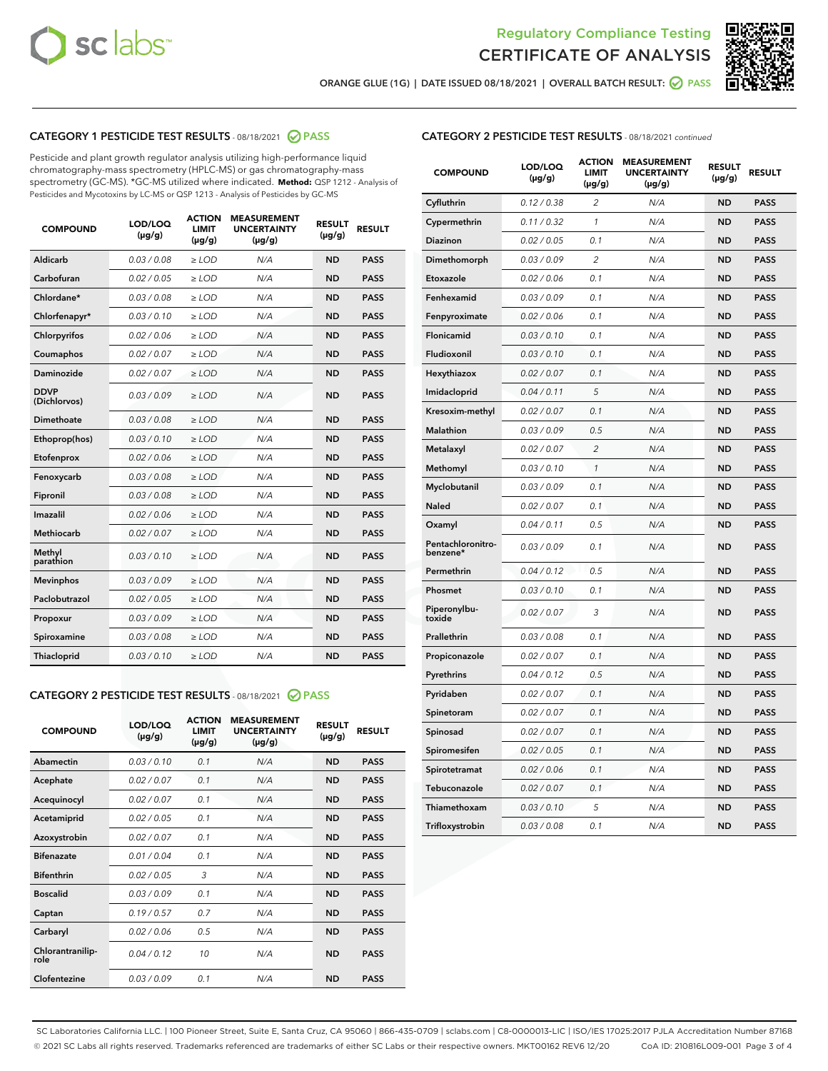



ORANGE GLUE (1G) | DATE ISSUED 08/18/2021 | OVERALL BATCH RESULT: O PASS

## CATEGORY 1 PESTICIDE TEST RESULTS - 08/18/2021 2 PASS

Pesticide and plant growth regulator analysis utilizing high-performance liquid chromatography-mass spectrometry (HPLC-MS) or gas chromatography-mass spectrometry (GC-MS). \*GC-MS utilized where indicated. **Method:** QSP 1212 - Analysis of Pesticides and Mycotoxins by LC-MS or QSP 1213 - Analysis of Pesticides by GC-MS

| <b>COMPOUND</b>             | LOD/LOQ<br>$(\mu g/g)$ | <b>ACTION</b><br><b>LIMIT</b><br>$(\mu g/g)$ | <b>MEASUREMENT</b><br><b>UNCERTAINTY</b><br>$(\mu g/g)$ | <b>RESULT</b><br>$(\mu g/g)$ | <b>RESULT</b> |
|-----------------------------|------------------------|----------------------------------------------|---------------------------------------------------------|------------------------------|---------------|
| Aldicarb                    | 0.03 / 0.08            | $\ge$ LOD                                    | N/A                                                     | <b>ND</b>                    | <b>PASS</b>   |
| Carbofuran                  | 0.02 / 0.05            | $\ge$ LOD                                    | N/A                                                     | <b>ND</b>                    | <b>PASS</b>   |
| Chlordane*                  | 0.03 / 0.08            | $\ge$ LOD                                    | N/A                                                     | <b>ND</b>                    | <b>PASS</b>   |
| Chlorfenapyr*               | 0.03/0.10              | $\ge$ LOD                                    | N/A                                                     | <b>ND</b>                    | <b>PASS</b>   |
| Chlorpyrifos                | 0.02 / 0.06            | $\ge$ LOD                                    | N/A                                                     | <b>ND</b>                    | <b>PASS</b>   |
| Coumaphos                   | 0.02 / 0.07            | $\ge$ LOD                                    | N/A                                                     | <b>ND</b>                    | <b>PASS</b>   |
| Daminozide                  | 0.02 / 0.07            | $\ge$ LOD                                    | N/A                                                     | <b>ND</b>                    | <b>PASS</b>   |
| <b>DDVP</b><br>(Dichlorvos) | 0.03/0.09              | $>$ LOD                                      | N/A                                                     | <b>ND</b>                    | <b>PASS</b>   |
| Dimethoate                  | 0.03 / 0.08            | $\ge$ LOD                                    | N/A                                                     | <b>ND</b>                    | <b>PASS</b>   |
| Ethoprop(hos)               | 0.03/0.10              | $>$ LOD                                      | N/A                                                     | <b>ND</b>                    | <b>PASS</b>   |
| Etofenprox                  | 0.02 / 0.06            | $\ge$ LOD                                    | N/A                                                     | <b>ND</b>                    | <b>PASS</b>   |
| Fenoxycarb                  | 0.03 / 0.08            | $\ge$ LOD                                    | N/A                                                     | <b>ND</b>                    | <b>PASS</b>   |
| Fipronil                    | 0.03/0.08              | $\ge$ LOD                                    | N/A                                                     | <b>ND</b>                    | <b>PASS</b>   |
| Imazalil                    | 0.02 / 0.06            | $\geq$ LOD                                   | N/A                                                     | <b>ND</b>                    | <b>PASS</b>   |
| <b>Methiocarb</b>           | 0.02 / 0.07            | $\ge$ LOD                                    | N/A                                                     | <b>ND</b>                    | <b>PASS</b>   |
| Methyl<br>parathion         | 0.03/0.10              | $\ge$ LOD                                    | N/A                                                     | <b>ND</b>                    | <b>PASS</b>   |
| <b>Mevinphos</b>            | 0.03/0.09              | $\ge$ LOD                                    | N/A                                                     | <b>ND</b>                    | <b>PASS</b>   |
| Paclobutrazol               | 0.02 / 0.05            | $>$ LOD                                      | N/A                                                     | <b>ND</b>                    | <b>PASS</b>   |
| Propoxur                    | 0.03 / 0.09            | $\ge$ LOD                                    | N/A                                                     | <b>ND</b>                    | <b>PASS</b>   |
| Spiroxamine                 | 0.03 / 0.08            | $\ge$ LOD                                    | N/A                                                     | <b>ND</b>                    | <b>PASS</b>   |
| Thiacloprid                 | 0.03/0.10              | $\ge$ LOD                                    | N/A                                                     | <b>ND</b>                    | <b>PASS</b>   |

#### CATEGORY 2 PESTICIDE TEST RESULTS - 08/18/2021 @ PASS

| <b>COMPOUND</b>          | LOD/LOQ<br>$(\mu g/g)$ | <b>ACTION</b><br><b>LIMIT</b><br>$(\mu g/g)$ | <b>MEASUREMENT</b><br><b>UNCERTAINTY</b><br>$(\mu g/g)$ | <b>RESULT</b><br>$(\mu g/g)$ | <b>RESULT</b> |
|--------------------------|------------------------|----------------------------------------------|---------------------------------------------------------|------------------------------|---------------|
| Abamectin                | 0.03/0.10              | 0.1                                          | N/A                                                     | <b>ND</b>                    | <b>PASS</b>   |
| Acephate                 | 0.02/0.07              | 0.1                                          | N/A                                                     | <b>ND</b>                    | <b>PASS</b>   |
| Acequinocyl              | 0.02/0.07              | 0.1                                          | N/A                                                     | <b>ND</b>                    | <b>PASS</b>   |
| Acetamiprid              | 0.02/0.05              | 0.1                                          | N/A                                                     | <b>ND</b>                    | <b>PASS</b>   |
| Azoxystrobin             | 0.02/0.07              | 0.1                                          | N/A                                                     | <b>ND</b>                    | <b>PASS</b>   |
| <b>Bifenazate</b>        | 0.01/0.04              | 0.1                                          | N/A                                                     | <b>ND</b>                    | <b>PASS</b>   |
| <b>Bifenthrin</b>        | 0.02 / 0.05            | 3                                            | N/A                                                     | <b>ND</b>                    | <b>PASS</b>   |
| <b>Boscalid</b>          | 0.03/0.09              | 0.1                                          | N/A                                                     | <b>ND</b>                    | <b>PASS</b>   |
| Captan                   | 0.19/0.57              | 0.7                                          | N/A                                                     | <b>ND</b>                    | <b>PASS</b>   |
| Carbaryl                 | 0.02/0.06              | 0.5                                          | N/A                                                     | <b>ND</b>                    | <b>PASS</b>   |
| Chlorantranilip-<br>role | 0.04/0.12              | 10                                           | N/A                                                     | <b>ND</b>                    | <b>PASS</b>   |
| Clofentezine             | 0.03/0.09              | 0.1                                          | N/A                                                     | <b>ND</b>                    | <b>PASS</b>   |

| <b>CATEGORY 2 PESTICIDE TEST RESULTS</b> - 08/18/2021 continued |  |
|-----------------------------------------------------------------|--|
|                                                                 |  |

| <b>COMPOUND</b>               | LOD/LOQ<br>(µg/g) | <b>ACTION</b><br><b>LIMIT</b><br>$(\mu g/g)$ | <b>MEASUREMENT</b><br><b>UNCERTAINTY</b><br>$(\mu g/g)$ | <b>RESULT</b><br>(µg/g) | <b>RESULT</b> |
|-------------------------------|-------------------|----------------------------------------------|---------------------------------------------------------|-------------------------|---------------|
| Cyfluthrin                    | 0.12 / 0.38       | $\overline{c}$                               | N/A                                                     | <b>ND</b>               | <b>PASS</b>   |
| Cypermethrin                  | 0.11 / 0.32       | $\mathbf{1}$                                 | N/A                                                     | <b>ND</b>               | <b>PASS</b>   |
| <b>Diazinon</b>               | 0.02 / 0.05       | 0.1                                          | N/A                                                     | <b>ND</b>               | <b>PASS</b>   |
| Dimethomorph                  | 0.03 / 0.09       | $\overline{c}$                               | N/A                                                     | <b>ND</b>               | <b>PASS</b>   |
| Etoxazole                     | 0.02 / 0.06       | 0.1                                          | N/A                                                     | <b>ND</b>               | <b>PASS</b>   |
| Fenhexamid                    | 0.03 / 0.09       | 0.1                                          | N/A                                                     | <b>ND</b>               | <b>PASS</b>   |
| Fenpyroximate                 | 0.02 / 0.06       | 0.1                                          | N/A                                                     | <b>ND</b>               | <b>PASS</b>   |
| Flonicamid                    | 0.03 / 0.10       | 0.1                                          | N/A                                                     | <b>ND</b>               | <b>PASS</b>   |
| Fludioxonil                   | 0.03 / 0.10       | 0.1                                          | N/A                                                     | <b>ND</b>               | <b>PASS</b>   |
| Hexythiazox                   | 0.02 / 0.07       | 0.1                                          | N/A                                                     | <b>ND</b>               | <b>PASS</b>   |
| Imidacloprid                  | 0.04 / 0.11       | 5                                            | N/A                                                     | <b>ND</b>               | <b>PASS</b>   |
| Kresoxim-methyl               | 0.02 / 0.07       | 0.1                                          | N/A                                                     | <b>ND</b>               | <b>PASS</b>   |
| Malathion                     | 0.03 / 0.09       | 0.5                                          | N/A                                                     | <b>ND</b>               | <b>PASS</b>   |
| Metalaxyl                     | 0.02 / 0.07       | $\overline{2}$                               | N/A                                                     | <b>ND</b>               | <b>PASS</b>   |
| Methomyl                      | 0.03 / 0.10       | 1                                            | N/A                                                     | <b>ND</b>               | <b>PASS</b>   |
| Myclobutanil                  | 0.03 / 0.09       | 0.1                                          | N/A                                                     | <b>ND</b>               | <b>PASS</b>   |
| Naled                         | 0.02 / 0.07       | 0.1                                          | N/A                                                     | <b>ND</b>               | <b>PASS</b>   |
| Oxamyl                        | 0.04 / 0.11       | 0.5                                          | N/A                                                     | <b>ND</b>               | <b>PASS</b>   |
| Pentachloronitro-<br>benzene* | 0.03 / 0.09       | 0.1                                          | N/A                                                     | <b>ND</b>               | <b>PASS</b>   |
| Permethrin                    | 0.04 / 0.12       | 0.5                                          | N/A                                                     | <b>ND</b>               | <b>PASS</b>   |
| Phosmet                       | 0.03 / 0.10       | 0.1                                          | N/A                                                     | <b>ND</b>               | <b>PASS</b>   |
| Piperonylbu-<br>toxide        | 0.02 / 0.07       | 3                                            | N/A                                                     | <b>ND</b>               | <b>PASS</b>   |
| Prallethrin                   | 0.03 / 0.08       | 0.1                                          | N/A                                                     | <b>ND</b>               | <b>PASS</b>   |
| Propiconazole                 | 0.02 / 0.07       | 0.1                                          | N/A                                                     | <b>ND</b>               | <b>PASS</b>   |
| Pyrethrins                    | 0.04 / 0.12       | 0.5                                          | N/A                                                     | <b>ND</b>               | <b>PASS</b>   |
| Pyridaben                     | 0.02 / 0.07       | 0.1                                          | N/A                                                     | <b>ND</b>               | <b>PASS</b>   |
| Spinetoram                    | 0.02 / 0.07       | 0.1                                          | N/A                                                     | <b>ND</b>               | <b>PASS</b>   |
| Spinosad                      | 0.02 / 0.07       | 0.1                                          | N/A                                                     | ND                      | <b>PASS</b>   |
| Spiromesifen                  | 0.02 / 0.05       | 0.1                                          | N/A                                                     | <b>ND</b>               | <b>PASS</b>   |
| Spirotetramat                 | 0.02 / 0.06       | 0.1                                          | N/A                                                     | <b>ND</b>               | <b>PASS</b>   |
| Tebuconazole                  | 0.02 / 0.07       | 0.1                                          | N/A                                                     | <b>ND</b>               | <b>PASS</b>   |
| Thiamethoxam                  | 0.03 / 0.10       | 5                                            | N/A                                                     | <b>ND</b>               | <b>PASS</b>   |
| Trifloxystrobin               | 0.03 / 0.08       | 0.1                                          | N/A                                                     | ND                      | <b>PASS</b>   |

SC Laboratories California LLC. | 100 Pioneer Street, Suite E, Santa Cruz, CA 95060 | 866-435-0709 | sclabs.com | C8-0000013-LIC | ISO/IES 17025:2017 PJLA Accreditation Number 87168 © 2021 SC Labs all rights reserved. Trademarks referenced are trademarks of either SC Labs or their respective owners. MKT00162 REV6 12/20 CoA ID: 210816L009-001 Page 3 of 4